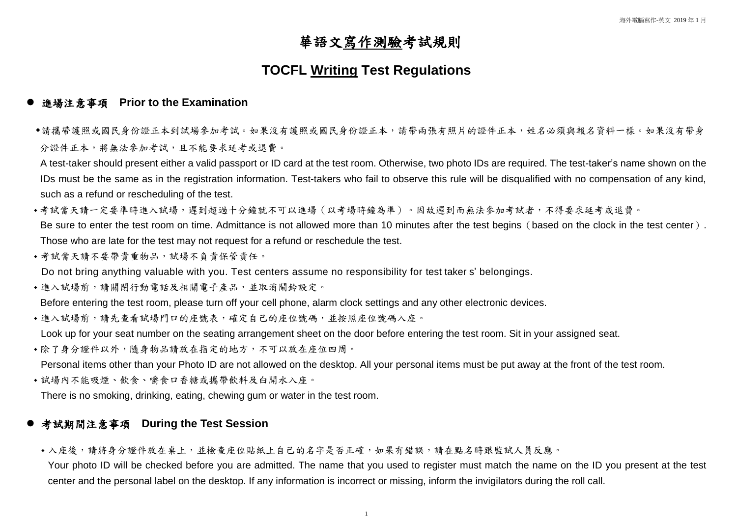# 華語文寫作測驗考試規則

## **TOCFL Writing Test Regulations**

#### **● 進場注意事項 Prior to the Examination**

請攜帶護照或國民身份證正本到試場參加考試。如果沒有護照或國民身份證正本,請帶兩張有照片的證件正本,姓名必須與報名資料一樣。如果沒有帶身 分證件正本,將無法參加考試,且不能要求延考或退費。

A test-taker should present either a valid passport or ID card at the test room. Otherwise, two photo IDs are required. The test-taker's name shown on the IDs must be the same as in the registration information. Test-takers who fail to observe this rule will be disqualified with no compensation of any kind, such as a refund or rescheduling of the test.

- •考試當天請一定要準時進入試場,遲到超過十分鐘就不可以進場 (以考場時鐘為準)。因故遲到而無法參加考試者,不得要求延考或退費。 Be sure to enter the test room on time. Admittance is not allowed more than 10 minutes after the test begins (based on the clock in the test center). Those who are late for the test may not request for a refund or reschedule the test.
- 考試當天請不要帶貴重物品,試場不負責保管責任。 Do not bring anything valuable with you. Test centers assume no responsibility for test taker s' belongings.
- 進入試場前,請關閉行動電話及相關電子產品,並取消鬧鈴設定。

• 入座後,請將身分證件放在桌上,並檢查座位貼紙上自己的名字是否正確,如果有錯誤,請在點名時跟監試人員反應。 Your photo ID will be checked before you are admitted. The name that you used to register must match the name on the ID you present at the test center and the personal label on the desktop. If any information is incorrect or missing, inform the invigilators during the roll call.

Before entering the test room, please turn off your cell phone, alarm clock settings and any other electronic devices.

•進入試場前,請先查看試場門口的座號表,確定自己的座位號碼,並按照座位號碼入座。

Look up for your seat number on the seating arrangement sheet on the door before entering the test room. Sit in your assigned seat.

- 除了身分證件以外,隨身物品請放在指定的地方,不可以放在座位四周。 Personal items other than your Photo ID are not allowed on the desktop. All your personal items must be put away at the front of the test room.
- 試場內不能吸煙、飲食、嚼食口香糖或攜帶飲料及白開水入座。

There is no smoking, drinking, eating, chewing gum or water in the test room.

#### **● 考試期間注意事項 During the Test Session**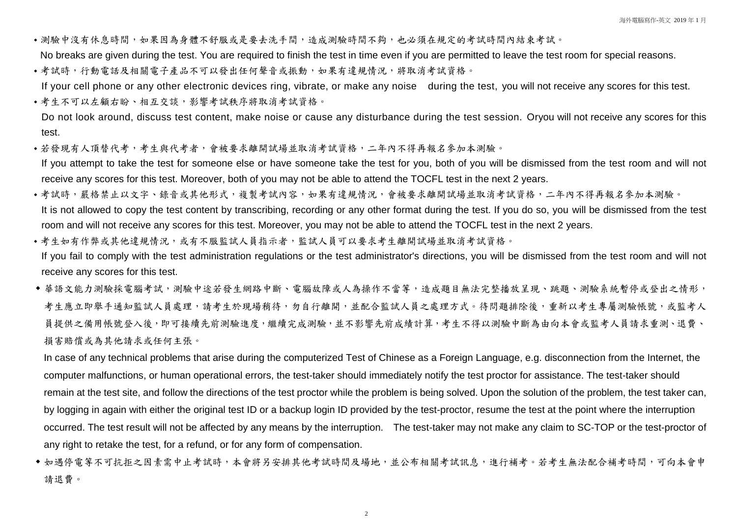- •測驗中沒有休息時間,如果因為身體不舒服或是要去洗手間,造成測驗時間不夠,也必須在規定的考試時間內結束考試。 No breaks are given during the test. You are required to finish the test in time even if you are permitted to leave the test room for special reasons.
- •考試時,行動電話及相關電子產品不可以發出任何聲音或振動,如果有違規情況,將取消考試資格。 If your cell phone or any other electronic devices ring, vibrate, or make any noise during the test, you will not receive any scores for this test.
- 考生不可以左顧右盼、相互交談,影響考試秩序將取消考試資格。

Do not look around, discuss test content, make noise or cause any disturbance during the test session. Oryou will not receive any scores for this test.

- 若發現有人頂替代考,考生與代考者,會被要求離開試場並取消考試資格,二年內不得再報名參加本測驗。 If you attempt to take the test for someone else or have someone take the test for you, both of you will be dismissed from the test room and will not receive any scores for this test. Moreover, both of you may not be able to attend the TOCFL test in the next 2 years.
- •考試時,嚴格禁止以文字、錄音或其他形式,複製考試內容,如果有違規情況,會被要求離開試場並取消考試資格,二年內不得再報名參加本測驗。 It is not allowed to copy the test content by transcribing, recording or any other format during the test. If you do so, you will be dismissed from the test room and will not receive any scores for this test. Moreover, you may not be able to attend the TOCFL test in the next 2 years.
- 考生如有作弊或其他違規情況,或有不服監試人員指示者,監試人員可以要求考生離開試場並取消考試資格。 If you fail to comply with the test administration regulations or the test administrator's directions, you will be dismissed from the test room and will not receive any scores for this test.
- ◆ 華語文能力測驗採電腦考試,測驗中途若發生網路中斷、電腦故障或人為操作不當等,造成題目無法完整播放呈現、跳題、測驗系統暫停或登出之情形, 考生應立即舉手通知監試人員處理,請考生於現場稍待,勿自行離開,並配合監試人員之處理方式。待問題排除後,重新以考生專屬測驗帳號,或監考人 員提供之備用帳號登入後,即可接續先前測驗進度,繼續完成測驗,並不影響先前成績計算,考生不得以測驗中斷為由向本會或監考人員請求重測、退費、 損害賠償或為其他請求或任何主張。

◆ 如遇停電等不可抗拒之因素需中止考試時,本會將另安排其他考試時間及場地,並公布相關考試訊息,進行補考。若考生無法配合補考時間,可向本會申 請退費。

In case of any technical problems that arise during the computerized Test of Chinese as a Foreign Language, e.g. disconnection from the Internet, the computer malfunctions, or human operational errors, the test-taker should immediately notify the test proctor for assistance. The test-taker should remain at the test site, and follow the directions of the test proctor while the problem is being solved. Upon the solution of the problem, the test taker can, by logging in again with either the original test ID or a backup login ID provided by the test-proctor, resume the test at the point where the interruption occurred. The test result will not be affected by any means by the interruption. The test-taker may not make any claim to SC-TOP or the test-proctor of any right to retake the test, for a refund, or for any form of compensation.